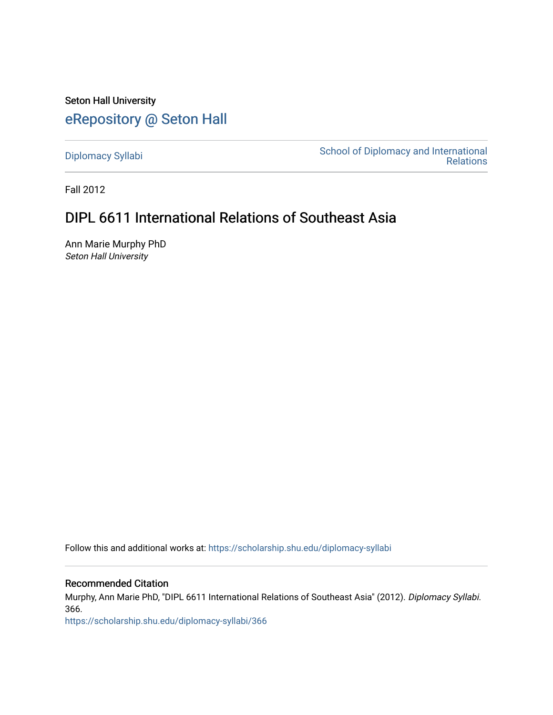Seton Hall University [eRepository @ Seton Hall](https://scholarship.shu.edu/)

[Diplomacy Syllabi](https://scholarship.shu.edu/diplomacy-syllabi) [School of Diplomacy and International](https://scholarship.shu.edu/diplomacy)  [Relations](https://scholarship.shu.edu/diplomacy) 

Fall 2012

# DIPL 6611 International Relations of Southeast Asia

Ann Marie Murphy PhD Seton Hall University

Follow this and additional works at: [https://scholarship.shu.edu/diplomacy-syllabi](https://scholarship.shu.edu/diplomacy-syllabi?utm_source=scholarship.shu.edu%2Fdiplomacy-syllabi%2F366&utm_medium=PDF&utm_campaign=PDFCoverPages) 

# Recommended Citation

Murphy, Ann Marie PhD, "DIPL 6611 International Relations of Southeast Asia" (2012). Diplomacy Syllabi. 366.

[https://scholarship.shu.edu/diplomacy-syllabi/366](https://scholarship.shu.edu/diplomacy-syllabi/366?utm_source=scholarship.shu.edu%2Fdiplomacy-syllabi%2F366&utm_medium=PDF&utm_campaign=PDFCoverPages)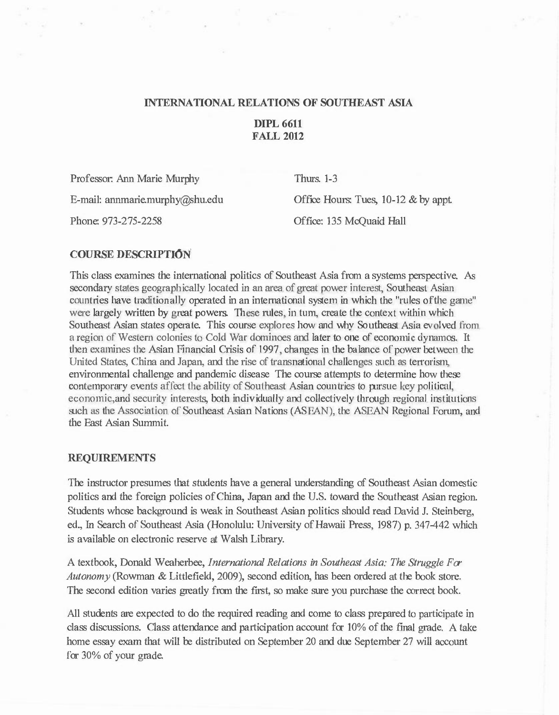#### **INTERNATIONAL RELATIONS OF SOUTHEAST ASIA**

# **DIPL 6611 FALL 2012**

Professor: Ann Marie Murphy

E-mail: annmarie.murphy@shu.edu

Phone: 973-275-2258

Thurs. 1-3 Office Hours: Tues, 10-12 & by appt. Office: 135 McQuaid Hall

#### **COURSE DESCRIPTION**

This class examines the international politics of Southeast Asia from a systems perspective. As secondary states geographically located in an area of great power interest, Southeast Asian countries have traditionally operated in an international system in which the "rules oftbe game" were largely written by great powers. These rules, in turn, create the context within which Southeast Asian states operate. This course explores how and why Southeast Asia evolved from a region of Western colonies to Cold War dominoes and later to one of economic dynamos. It then examines the Asian Financial Crisis of 1997, changes in the balance of power between the United States, China and Japan, and the rise of transnational challenges such as terrorism, environmental challenge and pandemic disease The course attempts to determine how these contemporary events affect the ability of Southeast Asian countries to pursue key political, economic, and security interests, both individually and collectively through regional institutions such as the Association of Southeast Asian Nations (ASEAN), the ASEAN Regional Forum, and the East Asian Summit.

#### **REQUIREMENTS**

The instructor presumes that students have a general understanding of Southeast Asian domestic politics and the foreign policies of China, Japan and the U.S. toward the Southeast Asian region. Students whose background is weak in Southeast Asian politics should read David J. Steinberg, ed., In Search of Southeast Asia (Honolulu: University of Hawaii Press, 1987) p. 347-442 which is available on electronic reserve at Walsh Library.

A textbook, Donald Weaherbee, *International Relations in Southeast Asia: The Struggle For Autonomy* (Rowman & Littlefield, 2009), second edition, has been ordered at the book store. The second edition varies greatly from the first, so make sure you purchase the correct book.

All students are expected to do the required reading and come to class prepared to participate in class discussions. Class attendance and participation account for 10% of the final grade. A take home essay exam that will be distributed on September 20 and due September 27 will account for 30% of your grade.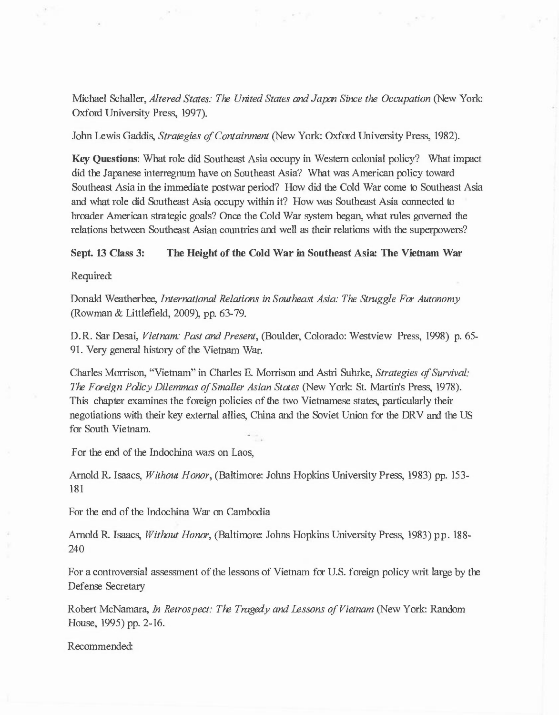Michael Schaller, *Altered States: The United States and Japan Since the Occupation* (New York: Oxford University Press, 1997).

John Lewis Gaddis, *Strategies of Containment* (New York: Oxford University Press, 1982).

Key Questions: What role did Southeast Asia occupy in Western colonial policy? What impact did the Japanese interregnum have on Southeast Asia? What was American policy toward Southeast Asia in the immediate postwar period? How did the Cold War come to Southeast Asia and what role did Southeast Asia occupy within it? How was Southeast Asia connected to broader American strategic goals? Once the Cold War system began, what rules governed the relations between Southeast Asian countries and well as their relations with the superpowers?

Sept. 13 Class 3: The Height of the Cold War in Southeast Asia: The Vietnam War

Required:

Donald Weatherbee, *International Relations in Southeast Asia: The Struggle For Autonomy*  (Rowman & Littlefield, 2009), pp. 63-79.

D.R. Sar Desai, *Vietnam: Past and Present,* (Boulder, Colorado: Westview Press, 1998) p. 65- 91. Very general history of the Vietnam War.

Charles Morrison, "Vietnam" in Charles E. Morrison and Astri Suhrke, *Strategies of Survival: The Foreign Policy Dilemmas of Smaller Asian States* (New York: St. Martin's Press, 1978). This chapter examines the foreign policies of the two Vietnamese states, particularly their negotiations with their key external allies, China and the Soviet Union for the DRV and the US for South Vietnam.

For the end of the Indochina wars on Laos,

Arnold R. Isaacs, *Without Honor,* (Baltimore: Johns Hopkins University Press, 1983) pp. 153- 181

For the end of the Indochina War on Cambodia

Arnold R. Isaacs, *Without Honor,* (Baltimore: Johns Hopkins University Press, 1983) pp. 188- 240

For a controversial assessment of the lessons of Vietnam for U.S. foreign policy writ large by the Defense Secretary

Robert McNamara, *In Retrospect: The Tragedy and Lessons of Vietnam* (New York: Random House, 1995) pp. 2-16.

Recommended: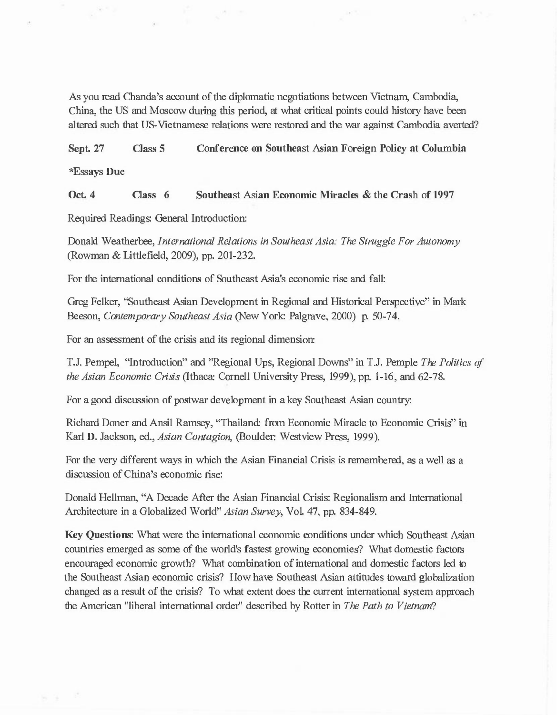As you read Chanda's account of the diplomatic negotiations between Vietnam, Cambodia, China, the US and Moscow during this period, at what critical points could history have been altered such that US-Vietnamese relations were restored and the war against Cambodia averted?

Sept. 27 Class 5 Conference on Southeast Asian Foreign Policy at Columbia

\*Essays Due

Oct. 4 Class 6 Southeast Asian Economic Miracles & the Crash of 1997

Required Readings: General Introduction:

Donald Weatherbee, *International Relations in Southeast Asia: The Struggle For Autonomy*  (Rowman & Littlefield, 2009), pp. 201-232.

For the international conditions of Southeast Asia's economic rise and fall:

Greg Felker, "Southeast Asian Development in Regional and Historical Perspective" in Mark Beeson, *Contemporary Southeast Asia* (New York: Palgrave, 2000) p. 50-74.

For an assessment of the crisis and its regional dimension:

T.J. Pempel, "Introduction" and "Regional Ups, Regional Downs" in T.J. Pemple *The Politics of the Asian Economic Crisis* (Ithaca: Cornell University Press, 1999), pp. 1-16, and 62-78.

For a good discussion of postwar development in a key Southeast Asian country:

Richard Doner and Ansil Ramsey, "Thailand: from Economic Miracle to Economic Crisis" in Karl D. Jackson, ed., *Asian Contagion,* (Boulder: Westview Press, 1999).

For the very different ways in which the Asian Financial Crisis is remembered, as a well as a discussion of China's economic rise:

Donald Hellman, "A Decade After the Asian Financial Crisis: Regionalism and International Architecture in a Globalized World" *Asian Survey,* Vol. 47, pp. 834-849.

Key Questions: What were the international economic conditions under which Southeast Asian countries emerged as some of the world's fastest growing economies? What domestic factors encouraged economic growth? What combination of international and domestic factors led to the Southeast Asian economic crisis? How have Southeast Asian attitudes toward globalization changed as a result of the crisis? To what extent does the current international system approach the American "liberal international order" described by Rotter in *The Path to Vietnam?*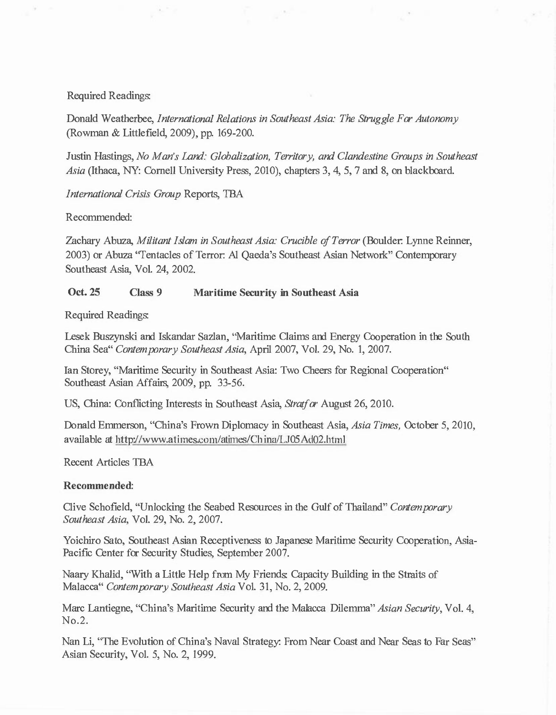### Required Readings:

Donald Weatherbee, *International Relations in Southeast Asia: The Struggle For Autonomy*  (Rowman & Littlefield, 2009), pp. 169-200.

Justin Hastings, *No Man's Land: Globalization, Territory, and Clandestine Groups in Southeast Asia* (Ithaca, NY: Cornell University Press, 2010), chapters 3, 4, 5, 7 and 8, on blackboard.

*International Crisis Group* Reports, TBA

Recommended:

Zachary Abuza, *Militant Islam in Southeast Asia: Crucible of Terror* (Boulder: Lynne Reinner, 2003) or Abuza "Tentacles of Terror: Al Qaeda's Southeast Asian Network" Contemporary Southeast Asia, Vol. 24, 2002.

#### **Oct. 25 Class 9 Maritime Security in Southeast Asia**

Required Readings:

Lesek Buszynski and Iskandar Sazlan, "Maritime Claims and Energy Cooperation in the South China Sea" *Contemporary Southeast Asia,* April 2007, Vol. 29, No. 1, 2007.

Ian Storey, "Maritime Security in Southeast Asia: Two Cheers for Regional Cooperation" Southeast Asian Affairs, 2009, pp. 33-56.

US, China: Conflicting Interests in Southeast Asia, *Stratfor* August 26, 2010.

Donald Emmerson, "China's Frown Diplomacy in Southeast Asia, *Asia Times,* October 5, 2010, available at http://www.atimes.com/atimes/China/LJ05Ad02.html

Recent Articles TBA

#### **Recommended:**

Clive Schofield, "Unlocking the Seabed Resources in the Gulf of Thailand" *Contemporary Southeast Asia,* Vol. 29, No. 2, 2007.

Y oichiro Sato, Southeast Asian Receptiveness to Japanese Maritime Security Cooperation, Asia-Pacific Center for Security Studies, September 2007.

Naary Khalid, "With a Little Help from My Friends: Capacity Building in the Straits of Malacca" *Contemporary Southeast Asia* Vol. 31, No. 2, 2009.

Marc Lantiegne, "China's Maritime Security and the Malacca Dilemma" *Asian Security,* Vol. 4, No.2.

Nan Li, "The Evolution of China's Naval Strategy: From Near Coast and Near Seas to Far Seas" Asian Security, Vol. 5, No. 2, 1999.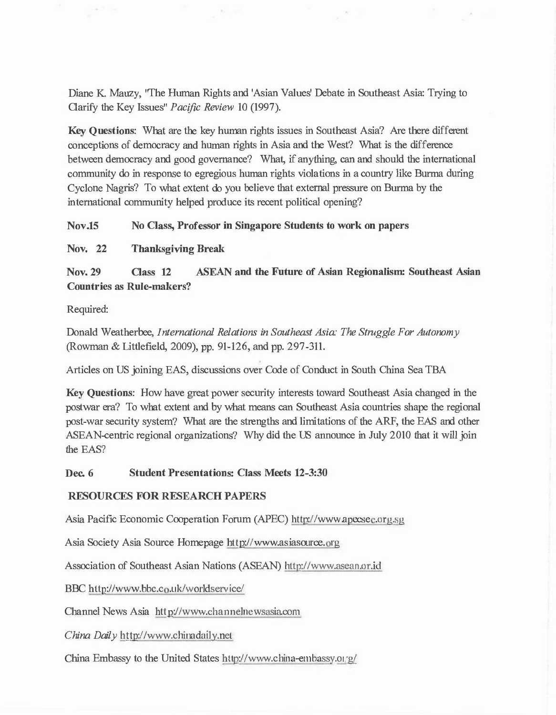Diane K. Mauzy, "The Human Rights and 'Asian Values' Debate in Southeast Asia: Trying to Clarify the Key Issues" *Pacific Review* 10 (1997).

**Key Questions:** What are the key human rights issues in Southeast Asia? Are there different conceptions of democracy and human rights in Asia and the West? What is the difference between democracy and good governance? What, if anything, can and should the international community do in response to egregious human rights violations in a country like Burma during Cyclone Nagris? To what extent do you believe that external pressure on Burma by the international community helped produce its recent political opening?

**Nov.15 No Class, Professor in Singapore Students to work on papers** 

**Nov. 22 Thanksgiving Break** 

**Nov. 29 Class 12 ASEAN and the Future of Asian Regionalism: Southeast Asian Countries as Rule-makers?** 

Required:

Donald Weatherbee, *International Relations in Southeast Asia: The Struggle For Autonomy*  (Rowman & Littlefield, 2009), pp. 91-126, and pp. 297-311.

Articles on US joining EAS, discussions over Code of Conduct in South China Sea TBA

**Key Questions:** How have great power security interests toward Southeast Asia changed in the postwar era? To what extent and by what means can Southeast Asia countries shape the regional post-war security system? What are the strengths and limitations of the ARF, the EAS and other ASEAN-centric regional organizations? Why did the US announce in July 2010 that it will join the EAS?

**Dec. 6 Student Presentations: Class Meets 12-3:30** 

## **RESOURCES FOR RESEARCH PAPERS**

Asia Pacific Economic Cooperation Forum (APEC) http://www.apecsec.org.sg

Asia Society Asia Source Homepage http://www.asiasource.org

Association of Southeast Asian Nations (ASEAN) http://www.asean.or.id

BBC http://www.bbc.co.uk/worldservice/

Channel News Asia http://www.channelnewsasia.com

*China Daily* http://www.chinadaily.net

China Embassy to the United States http://www.china-embassy.org/